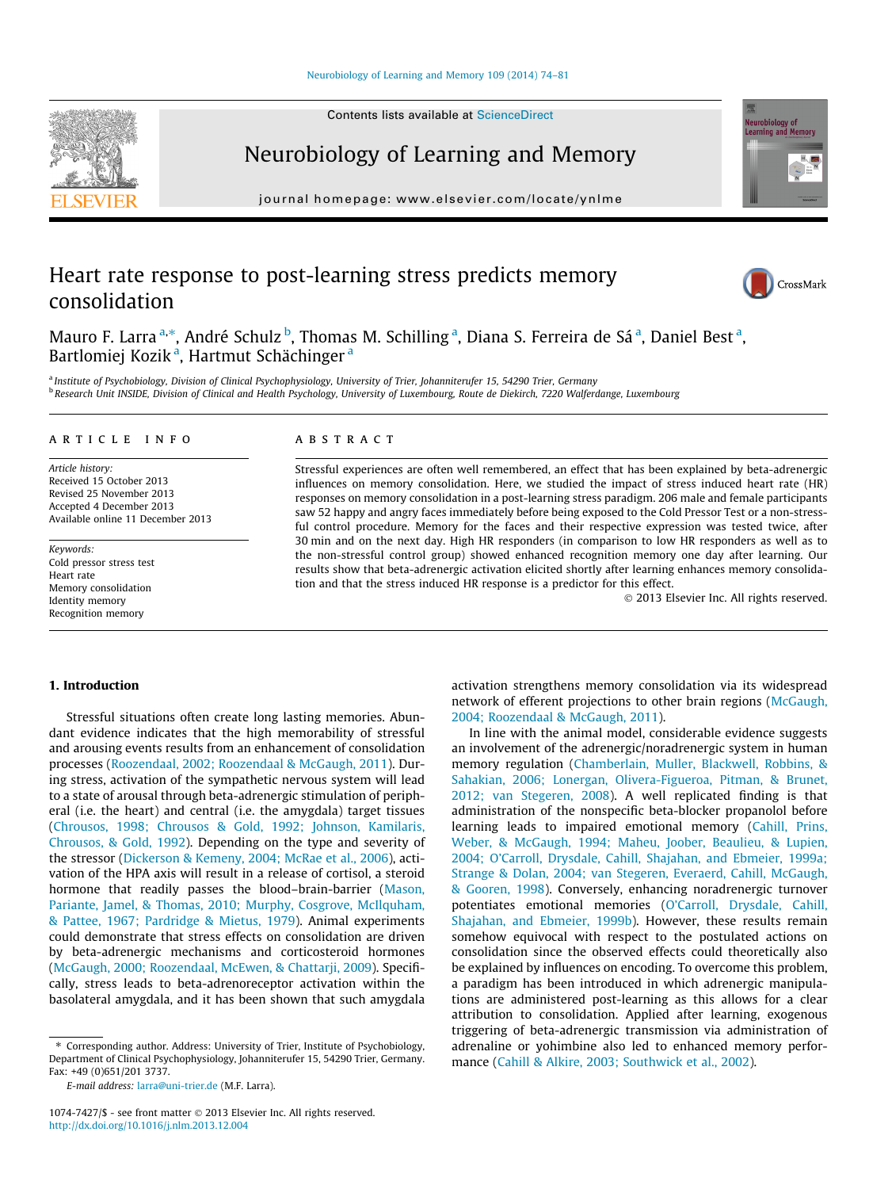Contents lists available at [ScienceDirect](http://www.sciencedirect.com/science/journal/10747427)

# Neurobiology of Learning and Memory

journal homepage: [www.elsevier.com/locate/ynlme](http://www.elsevier.com/locate/ynlme)

# Heart rate response to post-learning stress predicts memory consolidation

Mauro F. Larra <sup>a,</sup>\*, André Schulz <sup>b</sup>, Thomas M. Schilling <sup>a</sup>, Diana S. Ferreira de Sá <sup>a</sup>, Daniel Best <sup>a</sup>, Bartlomiej Kozik<sup>a</sup>, Hartmut Schächinger<sup>a</sup>

a Institute of Psychobiology, Division of Clinical Psychophysiology, University of Trier, Johanniterufer 15, 54290 Trier, Germany **b Research Unit INSIDE, Division of Clinical and Health Psychology, University of Luxembourg, Route de Diekirch, 7220 Walferdange, Luxembourg** 

# article info

Article history: Received 15 October 2013 Revised 25 November 2013 Accepted 4 December 2013 Available online 11 December 2013

Keywords: Cold pressor stress test Heart rate Memory consolidation Identity memory Recognition memory

# ABSTRACT

Stressful experiences are often well remembered, an effect that has been explained by beta-adrenergic influences on memory consolidation. Here, we studied the impact of stress induced heart rate (HR) responses on memory consolidation in a post-learning stress paradigm. 206 male and female participants saw 52 happy and angry faces immediately before being exposed to the Cold Pressor Test or a non-stressful control procedure. Memory for the faces and their respective expression was tested twice, after 30 min and on the next day. High HR responders (in comparison to low HR responders as well as to the non-stressful control group) showed enhanced recognition memory one day after learning. Our results show that beta-adrenergic activation elicited shortly after learning enhances memory consolidation and that the stress induced HR response is a predictor for this effect.

- 2013 Elsevier Inc. All rights reserved.

# 1. Introduction

Stressful situations often create long lasting memories. Abundant evidence indicates that the high memorability of stressful and arousing events results from an enhancement of consolidation processes [\(Roozendaal, 2002; Roozendaal & McGaugh, 2011\)](#page--1-0). During stress, activation of the sympathetic nervous system will lead to a state of arousal through beta-adrenergic stimulation of peripheral (i.e. the heart) and central (i.e. the amygdala) target tissues ([Chrousos, 1998; Chrousos & Gold, 1992; Johnson, Kamilaris,](#page--1-0) [Chrousos, & Gold, 1992\)](#page--1-0). Depending on the type and severity of the stressor [\(Dickerson & Kemeny, 2004; McRae et al., 2006](#page--1-0)), activation of the HPA axis will result in a release of cortisol, a steroid hormone that readily passes the blood–brain-barrier ([Mason,](#page--1-0) [Pariante, Jamel, & Thomas, 2010; Murphy, Cosgrove, McIlquham,](#page--1-0) [& Pattee, 1967; Pardridge & Mietus, 1979](#page--1-0)). Animal experiments could demonstrate that stress effects on consolidation are driven by beta-adrenergic mechanisms and corticosteroid hormones ([McGaugh, 2000; Roozendaal, McEwen, & Chattarji, 2009](#page--1-0)). Specifically, stress leads to beta-adrenoreceptor activation within the basolateral amygdala, and it has been shown that such amygdala

⇑ Corresponding author. Address: University of Trier, Institute of Psychobiology, Department of Clinical Psychophysiology, Johanniterufer 15, 54290 Trier, Germany. Fax: +49 (0)651/201 3737.

E-mail address: [larra@uni-trier.de](mailto:larra@uni-trier.de) (M.F. Larra).

activation strengthens memory consolidation via its widespread network of efferent projections to other brain regions ([McGaugh,](#page--1-0) [2004; Roozendaal & McGaugh, 2011\)](#page--1-0).

In line with the animal model, considerable evidence suggests an involvement of the adrenergic/noradrenergic system in human memory regulation [\(Chamberlain, Muller, Blackwell, Robbins, &](#page--1-0) [Sahakian, 2006; Lonergan, Olivera-Figueroa, Pitman, & Brunet,](#page--1-0) [2012; van Stegeren, 2008](#page--1-0)). A well replicated finding is that administration of the nonspecific beta-blocker propanolol before learning leads to impaired emotional memory ([Cahill, Prins,](#page--1-0) [Weber, & McGaugh, 1994; Maheu, Joober, Beaulieu, & Lupien,](#page--1-0) [2004; O'Carroll, Drysdale, Cahill, Shajahan, and Ebmeier, 1999a;](#page--1-0) [Strange & Dolan, 2004; van Stegeren, Everaerd, Cahill, McGaugh,](#page--1-0) [& Gooren, 1998\)](#page--1-0). Conversely, enhancing noradrenergic turnover potentiates emotional memories ([O'Carroll, Drysdale, Cahill,](#page--1-0) [Shajahan, and Ebmeier, 1999b](#page--1-0)). However, these results remain somehow equivocal with respect to the postulated actions on consolidation since the observed effects could theoretically also be explained by influences on encoding. To overcome this problem, a paradigm has been introduced in which adrenergic manipulations are administered post-learning as this allows for a clear attribution to consolidation. Applied after learning, exogenous triggering of beta-adrenergic transmission via administration of adrenaline or yohimbine also led to enhanced memory performance [\(Cahill & Alkire, 2003; Southwick et al., 2002\)](#page--1-0).







<sup>1074-7427/\$ -</sup> see front matter © 2013 Elsevier Inc. All rights reserved. <http://dx.doi.org/10.1016/j.nlm.2013.12.004>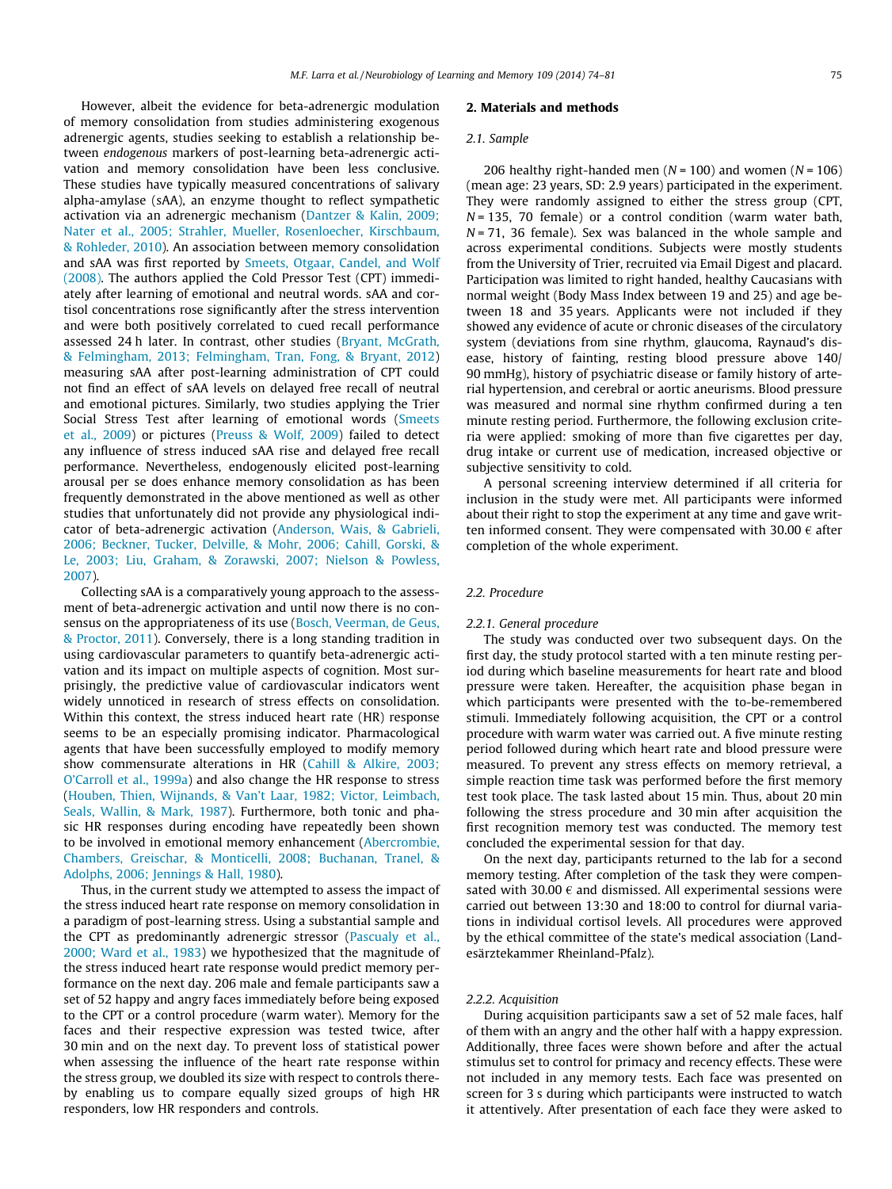However, albeit the evidence for beta-adrenergic modulation of memory consolidation from studies administering exogenous adrenergic agents, studies seeking to establish a relationship between endogenous markers of post-learning beta-adrenergic activation and memory consolidation have been less conclusive. These studies have typically measured concentrations of salivary alpha-amylase (sAA), an enzyme thought to reflect sympathetic activation via an adrenergic mechanism [\(Dantzer & Kalin, 2009;](#page--1-0) [Nater et al., 2005; Strahler, Mueller, Rosenloecher, Kirschbaum,](#page--1-0) [& Rohleder, 2010\)](#page--1-0). An association between memory consolidation and sAA was first reported by [Smeets, Otgaar, Candel, and Wolf](#page--1-0) [\(2008\)](#page--1-0). The authors applied the Cold Pressor Test (CPT) immediately after learning of emotional and neutral words. sAA and cortisol concentrations rose significantly after the stress intervention and were both positively correlated to cued recall performance assessed 24 h later. In contrast, other studies [\(Bryant, McGrath,](#page--1-0) [& Felmingham, 2013; Felmingham, Tran, Fong, & Bryant, 2012\)](#page--1-0) measuring sAA after post-learning administration of CPT could not find an effect of sAA levels on delayed free recall of neutral and emotional pictures. Similarly, two studies applying the Trier Social Stress Test after learning of emotional words ([Smeets](#page--1-0) [et al., 2009\)](#page--1-0) or pictures [\(Preuss & Wolf, 2009](#page--1-0)) failed to detect any influence of stress induced sAA rise and delayed free recall performance. Nevertheless, endogenously elicited post-learning arousal per se does enhance memory consolidation as has been frequently demonstrated in the above mentioned as well as other studies that unfortunately did not provide any physiological indicator of beta-adrenergic activation [\(Anderson, Wais, & Gabrieli,](#page--1-0) [2006; Beckner, Tucker, Delville, & Mohr, 2006; Cahill, Gorski, &](#page--1-0) [Le, 2003; Liu, Graham, & Zorawski, 2007; Nielson & Powless,](#page--1-0) [2007](#page--1-0)).

Collecting sAA is a comparatively young approach to the assessment of beta-adrenergic activation and until now there is no consensus on the appropriateness of its use ([Bosch, Veerman, de Geus,](#page--1-0) [& Proctor, 2011](#page--1-0)). Conversely, there is a long standing tradition in using cardiovascular parameters to quantify beta-adrenergic activation and its impact on multiple aspects of cognition. Most surprisingly, the predictive value of cardiovascular indicators went widely unnoticed in research of stress effects on consolidation. Within this context, the stress induced heart rate (HR) response seems to be an especially promising indicator. Pharmacological agents that have been successfully employed to modify memory show commensurate alterations in HR ([Cahill & Alkire, 2003;](#page--1-0) [O'Carroll et al., 1999a](#page--1-0)) and also change the HR response to stress ([Houben, Thien, Wijnands, & Van't Laar, 1982; Victor, Leimbach,](#page--1-0) [Seals, Wallin, & Mark, 1987](#page--1-0)). Furthermore, both tonic and phasic HR responses during encoding have repeatedly been shown to be involved in emotional memory enhancement [\(Abercrombie,](#page--1-0) [Chambers, Greischar, & Monticelli, 2008; Buchanan, Tranel, &](#page--1-0) [Adolphs, 2006; Jennings & Hall, 1980](#page--1-0)).

Thus, in the current study we attempted to assess the impact of the stress induced heart rate response on memory consolidation in a paradigm of post-learning stress. Using a substantial sample and the CPT as predominantly adrenergic stressor ([Pascualy et al.,](#page--1-0) [2000; Ward et al., 1983\)](#page--1-0) we hypothesized that the magnitude of the stress induced heart rate response would predict memory performance on the next day. 206 male and female participants saw a set of 52 happy and angry faces immediately before being exposed to the CPT or a control procedure (warm water). Memory for the faces and their respective expression was tested twice, after 30 min and on the next day. To prevent loss of statistical power when assessing the influence of the heart rate response within the stress group, we doubled its size with respect to controls thereby enabling us to compare equally sized groups of high HR responders, low HR responders and controls.

# 2. Materials and methods

#### 2.1. Sample

206 healthy right-handed men ( $N = 100$ ) and women ( $N = 106$ ) (mean age: 23 years, SD: 2.9 years) participated in the experiment. They were randomly assigned to either the stress group (CPT,  $N = 135$ , 70 female) or a control condition (warm water bath,  $N = 71$ , 36 female). Sex was balanced in the whole sample and across experimental conditions. Subjects were mostly students from the University of Trier, recruited via Email Digest and placard. Participation was limited to right handed, healthy Caucasians with normal weight (Body Mass Index between 19 and 25) and age between 18 and 35 years. Applicants were not included if they showed any evidence of acute or chronic diseases of the circulatory system (deviations from sine rhythm, glaucoma, Raynaud's disease, history of fainting, resting blood pressure above 140/ 90 mmHg), history of psychiatric disease or family history of arterial hypertension, and cerebral or aortic aneurisms. Blood pressure was measured and normal sine rhythm confirmed during a ten minute resting period. Furthermore, the following exclusion criteria were applied: smoking of more than five cigarettes per day, drug intake or current use of medication, increased objective or subjective sensitivity to cold.

A personal screening interview determined if all criteria for inclusion in the study were met. All participants were informed about their right to stop the experiment at any time and gave written informed consent. They were compensated with 30.00  $\epsilon$  after completion of the whole experiment.

# 2.2. Procedure

### 2.2.1. General procedure

The study was conducted over two subsequent days. On the first day, the study protocol started with a ten minute resting period during which baseline measurements for heart rate and blood pressure were taken. Hereafter, the acquisition phase began in which participants were presented with the to-be-remembered stimuli. Immediately following acquisition, the CPT or a control procedure with warm water was carried out. A five minute resting period followed during which heart rate and blood pressure were measured. To prevent any stress effects on memory retrieval, a simple reaction time task was performed before the first memory test took place. The task lasted about 15 min. Thus, about 20 min following the stress procedure and 30 min after acquisition the first recognition memory test was conducted. The memory test concluded the experimental session for that day.

On the next day, participants returned to the lab for a second memory testing. After completion of the task they were compensated with 30.00  $\epsilon$  and dismissed. All experimental sessions were carried out between 13:30 and 18:00 to control for diurnal variations in individual cortisol levels. All procedures were approved by the ethical committee of the state's medical association (Landesärztekammer Rheinland-Pfalz).

# 2.2.2. Acquisition

During acquisition participants saw a set of 52 male faces, half of them with an angry and the other half with a happy expression. Additionally, three faces were shown before and after the actual stimulus set to control for primacy and recency effects. These were not included in any memory tests. Each face was presented on screen for 3 s during which participants were instructed to watch it attentively. After presentation of each face they were asked to